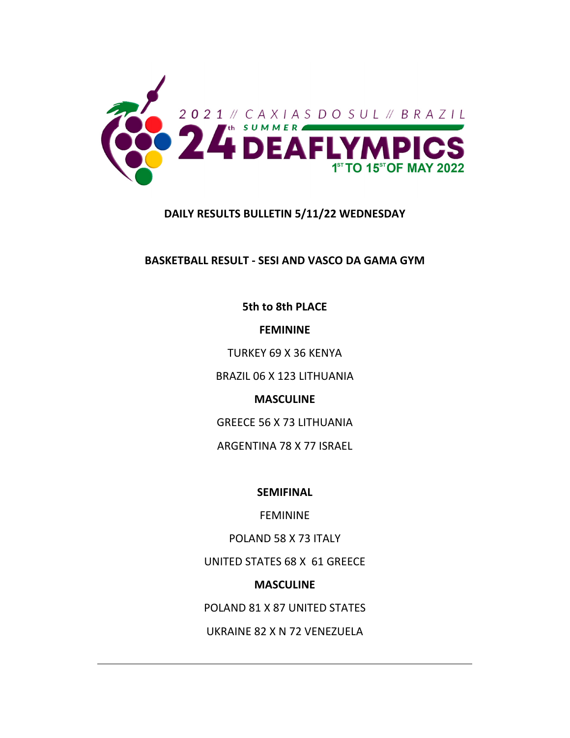

# **DAILY RESULTS BULLETIN 5/11/22 WEDNESDAY**

**BASKETBALL RESULT ‐ SESI AND VASCO DA GAMA GYM**

**5th to 8th PLACE**

**FEMININE**

TURKEY 69 X 36 KENYA

BRAZIL 06 X 123 LITHUANIA

**MASCULINE**

GREECE 56 X 73 LITHUANIA

ARGENTINA 78 X 77 ISRAEL

**SEMIFINAL**

FEMININE

POLAND 58 X 73 ITALY

UNITED STATES 68 X 61 GREECE

# **MASCULINE**

POLAND 81 X 87 UNITED STATES

UKRAINE 82 X N 72 VENEZUELA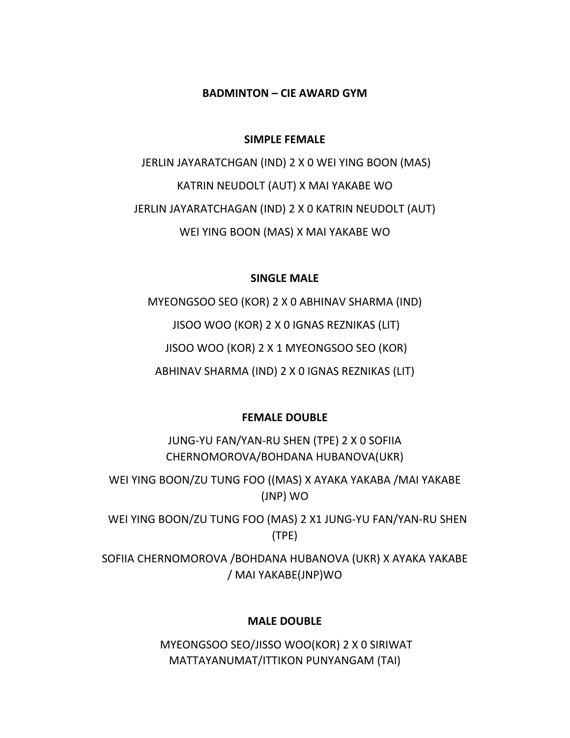### **BADMINTON – CIE AWARD GYM**

#### **SIMPLE FEMALE**

JERLIN JAYARATCHGAN (IND) 2 X 0 WEI YING BOON (MAS) KATRIN NEUDOLT (AUT) X MAI YAKABE WO JERLIN JAYARATCHAGAN (IND) 2 X 0 KATRIN NEUDOLT (AUT) WEI YING BOON (MAS) X MAI YAKABE WO

# **SINGLE MALE**

MYEONGSOO SEO (KOR) 2 X 0 ABHINAV SHARMA (IND) JISOO WOO (KOR) 2 X 0 IGNAS REZNIKAS (LIT) JISOO WOO (KOR) 2 X 1 MYEONGSOO SEO (KOR) ABHINAV SHARMA (IND) 2 X 0 IGNAS REZNIKAS (LIT)

### **FEMALE DOUBLE**

JUNG‐YU FAN/YAN‐RU SHEN (TPE) 2 X 0 SOFIIA CHERNOMOROVA/BOHDANA HUBANOVA(UKR)

WEI YING BOON/ZU TUNG FOO ((MAS) X AYAKA YAKABA /MAI YAKABE (JNP) WO

 WEI YING BOON/ZU TUNG FOO (MAS) 2 X1 JUNG‐YU FAN/YAN‐RU SHEN (TPE)

SOFIIA CHERNOMOROVA /BOHDANA HUBANOVA (UKR) X AYAKA YAKABE / MAI YAKABE(JNP)WO

#### **MALE DOUBLE**

MYEONGSOO SEO/JISSO WOO(KOR) 2 X 0 SIRIWAT MATTAYANUMAT/ITTIKON PUNYANGAM (TAI)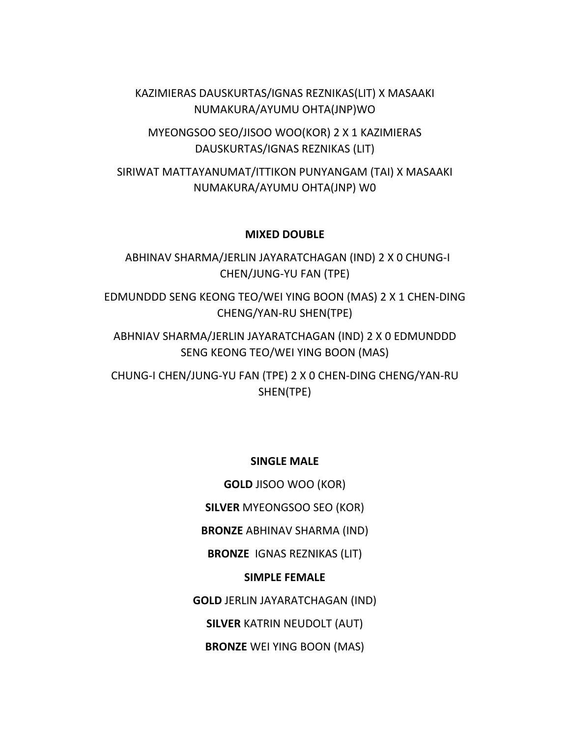KAZIMIERAS DAUSKURTAS/IGNAS REZNIKAS(LIT) X MASAAKI NUMAKURA/AYUMU OHTA(JNP)WO

MYEONGSOO SEO/JISOO WOO(KOR) 2 X 1 KAZIMIERAS DAUSKURTAS/IGNAS REZNIKAS (LIT)

SIRIWAT MATTAYANUMAT/ITTIKON PUNYANGAM (TAI) X MASAAKI NUMAKURA/AYUMU OHTA(JNP) W0

#### **MIXED DOUBLE**

 ABHINAV SHARMA/JERLIN JAYARATCHAGAN (IND) 2 X 0 CHUNG‐I CHEN/JUNG‐YU FAN (TPE)

EDMUNDDD SENG KEONG TEO/WEI YING BOON (MAS) 2 X 1 CHEN‐DING CHENG/YAN‐RU SHEN(TPE)

ABHNIAV SHARMA/JERLIN JAYARATCHAGAN (IND) 2 X 0 EDMUNDDD SENG KEONG TEO/WEI YING BOON (MAS)

CHUNG‐I CHEN/JUNG‐YU FAN (TPE) 2 X 0 CHEN‐DING CHENG/YAN‐RU SHEN(TPE)

#### **SINGLE MALE**

**GOLD** JISOO WOO (KOR)

**SILVER** MYEONGSOO SEO (KOR)

**BRONZE** ABHINAV SHARMA (IND)

**BRONZE** IGNAS REZNIKAS (LIT)

### **SIMPLE FEMALE**

**GOLD** JERLIN JAYARATCHAGAN (IND)

**SILVER** KATRIN NEUDOLT (AUT)

**BRONZE** WEI YING BOON (MAS)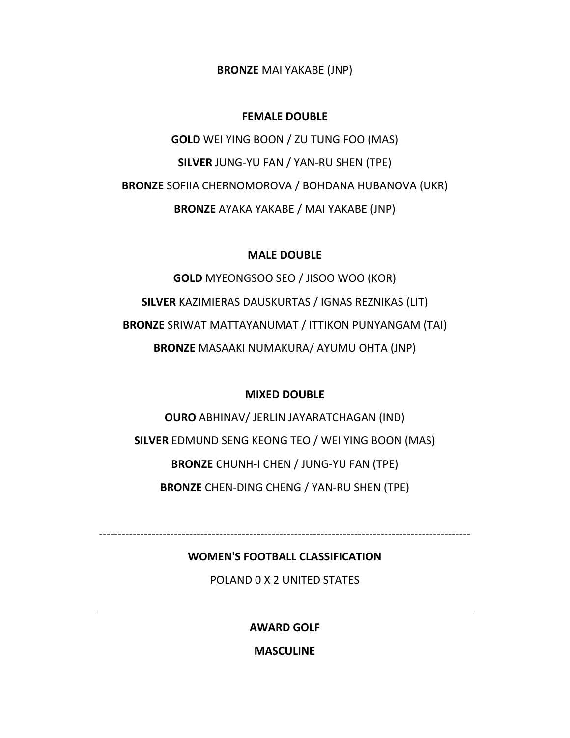**BRONZE** MAI YAKABE (JNP)

# **FEMALE DOUBLE**

**GOLD** WEI YING BOON / ZU TUNG FOO (MAS) **SILVER** JUNG‐YU FAN / YAN‐RU SHEN (TPE) **BRONZE** SOFIIA CHERNOMOROVA / BOHDANA HUBANOVA (UKR) **BRONZE** AYAKA YAKABE / MAI YAKABE (JNP)

#### **MALE DOUBLE**

**GOLD** MYEONGSOO SEO / JISOO WOO (KOR) **SILVER** KAZIMIERAS DAUSKURTAS / IGNAS REZNIKAS (LIT) **BRONZE** SRIWAT MATTAYANUMAT / ITTIKON PUNYANGAM (TAI) **BRONZE** MASAAKI NUMAKURA/ AYUMU OHTA (JNP)

#### **MIXED DOUBLE**

**OURO** ABHINAV/ JERLIN JAYARATCHAGAN (IND) **SILVER** EDMUND SENG KEONG TEO / WEI YING BOON (MAS) **BRONZE** CHUNH‐I CHEN / JUNG‐YU FAN (TPE) **BRONZE** CHEN‐DING CHENG / YAN‐RU SHEN (TPE)

‐‐‐‐‐‐‐‐‐‐‐‐‐‐‐‐‐‐‐‐‐‐‐‐‐‐‐‐‐‐‐‐‐‐‐‐‐‐‐‐‐‐‐‐‐‐‐‐‐‐‐‐‐‐‐‐‐‐‐‐‐‐‐‐‐‐‐‐‐‐‐‐‐‐‐‐‐‐‐‐‐‐‐‐‐‐‐‐‐‐‐‐‐‐‐‐‐‐‐

#### **WOMEN'S FOOTBALL CLASSIFICATION**

POLAND 0 X 2 UNITED STATES

**AWARD GOLF**

**MASCULINE**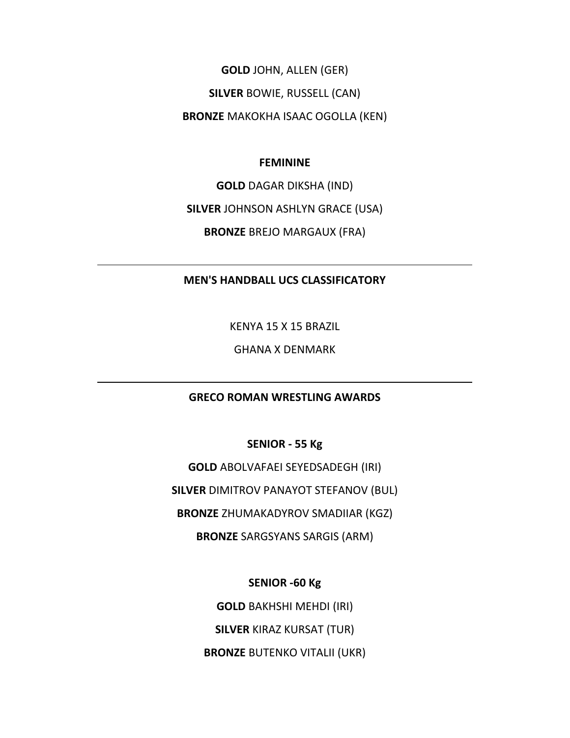**GOLD** JOHN, ALLEN (GER)

**SILVER** BOWIE, RUSSELL (CAN)

**BRONZE** MAKOKHA ISAAC OGOLLA (KEN)

#### **FEMININE**

**GOLD** DAGAR DIKSHA (IND)

**SILVER** JOHNSON ASHLYN GRACE (USA)

**BRONZE** BREJO MARGAUX (FRA)

### **MEN'S HANDBALL UCS CLASSIFICATORY**

KENYA 15 X 15 BRAZIL

GHANA X DENMARK

### **GRECO ROMAN WRESTLING AWARDS**

**SENIOR ‐ 55 Kg**

**GOLD** ABOLVAFAEI SEYEDSADEGH (IRI) **SILVER** DIMITROV PANAYOT STEFANOV (BUL) **BRONZE** ZHUMAKADYROV SMADIIAR (KGZ) **BRONZE** SARGSYANS SARGIS (ARM)

**SENIOR ‐60 Kg**

**GOLD** BAKHSHI MEHDI (IRI)

**SILVER** KIRAZ KURSAT (TUR)

**BRONZE** BUTENKO VITALII (UKR)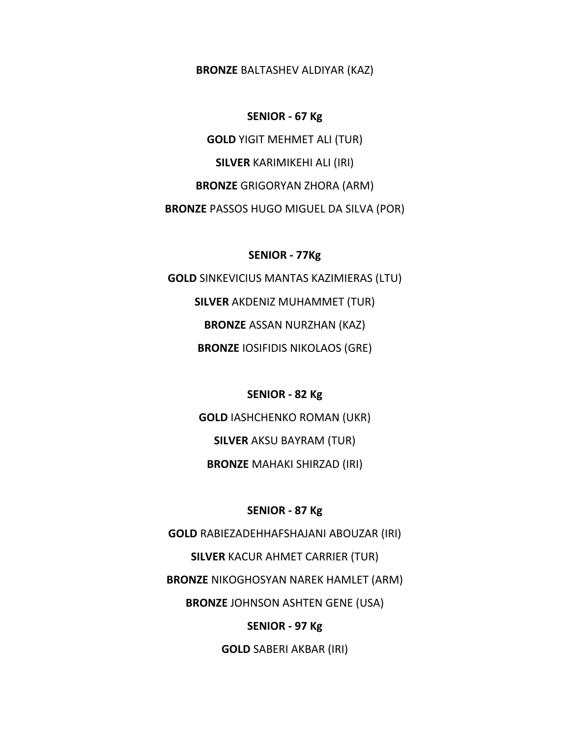#### **BRONZE** BALTASHEV ALDIYAR (KAZ)

#### **SENIOR ‐ 67 Kg**

**GOLD** YIGIT MEHMET ALI (TUR) **SILVER** KARIMIKEHI ALI (IRI) **BRONZE** GRIGORYAN ZHORA (ARM) **BRONZE** PASSOS HUGO MIGUEL DA SILVA (POR)

#### **SENIOR ‐ 77Kg**

**GOLD** SINKEVICIUS MANTAS KAZIMIERAS (LTU) **SILVER** AKDENIZ MUHAMMET (TUR) **BRONZE** ASSAN NURZHAN (KAZ) **BRONZE** IOSIFIDIS NIKOLAOS (GRE)

### **SENIOR ‐ 82 Kg**

**GOLD** IASHCHENKO ROMAN (UKR) **SILVER** AKSU BAYRAM (TUR)

**BRONZE** MAHAKI SHIRZAD (IRI)

### **SENIOR ‐ 87 Kg**

**GOLD** RABIEZADEHHAFSHAJANI ABOUZAR (IRI) **SILVER** KACUR AHMET CARRIER (TUR) **BRONZE** NIKOGHOSYAN NAREK HAMLET (ARM) **BRONZE** JOHNSON ASHTEN GENE (USA) **SENIOR ‐ 97 Kg**

**GOLD** SABERI AKBAR (IRI)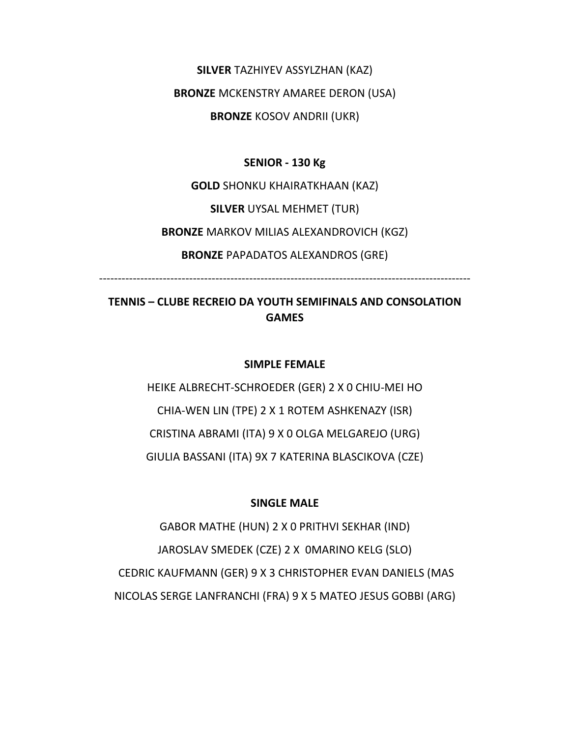**SILVER** TAZHIYEV ASSYLZHAN (KAZ)

**BRONZE** MCKENSTRY AMAREE DERON (USA)

**BRONZE** KOSOV ANDRII (UKR)

### **SENIOR ‐ 130 Kg**

**GOLD** SHONKU KHAIRATKHAAN (KAZ) **SILVER** UYSAL MEHMET (TUR) **BRONZE** MARKOV MILIAS ALEXANDROVICH (KGZ) **BRONZE** PAPADATOS ALEXANDROS (GRE)

‐‐‐‐‐‐‐‐‐‐‐‐‐‐‐‐‐‐‐‐‐‐‐‐‐‐‐‐‐‐‐‐‐‐‐‐‐‐‐‐‐‐‐‐‐‐‐‐‐‐‐‐‐‐‐‐‐‐‐‐‐‐‐‐‐‐‐‐‐‐‐‐‐‐‐‐‐‐‐‐‐‐‐‐‐‐‐‐‐‐‐‐‐‐‐‐‐‐‐

# **TENNIS – CLUBE RECREIO DA YOUTH SEMIFINALS AND CONSOLATION GAMES**

### **SIMPLE FEMALE**

HEIKE ALBRECHT‐SCHROEDER (GER) 2 X 0 CHIU‐MEI HO CHIA‐WEN LIN (TPE) 2 X 1 ROTEM ASHKENAZY (ISR) CRISTINA ABRAMI (ITA) 9 X 0 OLGA MELGAREJO (URG) GIULIA BASSANI (ITA) 9X 7 KATERINA BLASCIKOVA (CZE)

# **SINGLE MALE**

GABOR MATHE (HUN) 2 X 0 PRITHVI SEKHAR (IND) JAROSLAV SMEDEK (CZE) 2 X 0MARINO KELG (SLO) CEDRIC KAUFMANN (GER) 9 X 3 CHRISTOPHER EVAN DANIELS (MAS NICOLAS SERGE LANFRANCHI (FRA) 9 X 5 MATEO JESUS GOBBI (ARG)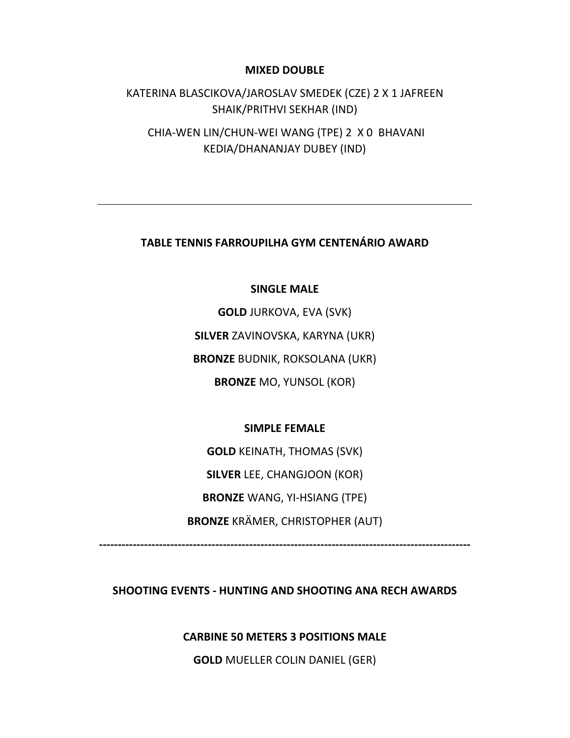#### **MIXED DOUBLE**

KATERINA BLASCIKOVA/JAROSLAV SMEDEK (CZE) 2 X 1 JAFREEN SHAIK/PRITHVI SEKHAR (IND)

CHIA‐WEN LIN/CHUN‐WEI WANG (TPE) 2 X 0 BHAVANI KEDIA/DHANANJAY DUBEY (IND)

**TABLE TENNIS FARROUPILHA GYM CENTENÁRIO AWARD**

### **SINGLE MALE**

**GOLD** JURKOVA, EVA (SVK) **SILVER** ZAVINOVSKA, KARYNA (UKR) **BRONZE** BUDNIK, ROKSOLANA (UKR) **BRONZE** MO, YUNSOL (KOR)

#### **SIMPLE FEMALE**

**GOLD** KEINATH, THOMAS (SVK) **SILVER** LEE, CHANGJOON (KOR) **BRONZE** WANG, YI‐HSIANG (TPE) **BRONZE** KRÄMER, CHRISTOPHER (AUT)

**‐‐‐‐‐‐‐‐‐‐‐‐‐‐‐‐‐‐‐‐‐‐‐‐‐‐‐‐‐‐‐‐‐‐‐‐‐‐‐‐‐‐‐‐‐‐‐‐‐‐‐‐‐‐‐‐‐‐‐‐‐‐‐‐‐‐‐‐‐‐‐‐‐‐‐‐‐‐‐‐‐‐‐‐‐‐‐‐‐‐‐‐‐‐‐‐‐‐‐** 

**SHOOTING EVENTS ‐ HUNTING AND SHOOTING ANA RECH AWARDS**

**CARBINE 50 METERS 3 POSITIONS MALE**

**GOLD** MUELLER COLIN DANIEL (GER)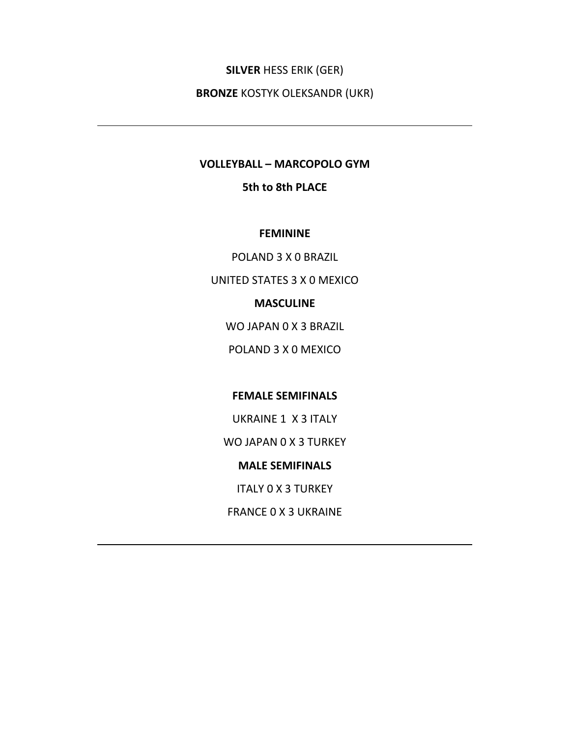# **SILVER** HESS ERIK (GER)

**BRONZE** KOSTYK OLEKSANDR (UKR)

#### **VOLLEYBALL – MARCOPOLO GYM**

### **5th to 8th PLACE**

#### **FEMININE**

POLAND 3 X 0 BRAZIL

UNITED STATES 3 X 0 MEXICO

#### **MASCULINE**

WO JAPAN 0 X 3 BRAZIL

POLAND 3 X 0 MEXICO

# **FEMALE SEMIFINALS**

UKRAINE 1 X 3 ITALY

WO JAPAN 0 X 3 TURKEY

#### **MALE SEMIFINALS**

ITALY 0 X 3 TURKEY

FRANCE 0 X 3 UKRAINE